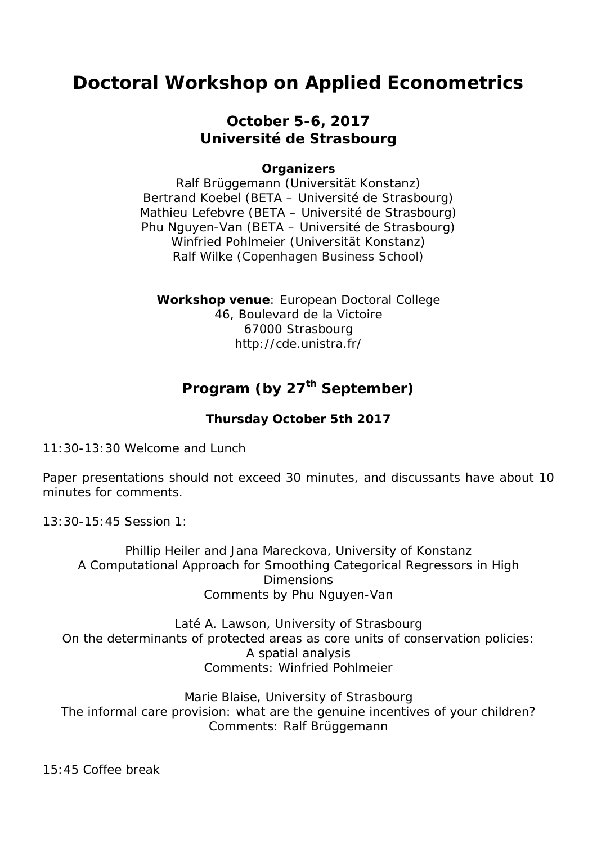# **Doctoral Workshop on Applied Econometrics**

### **October 5-6, 2017 Université de Strasbourg**

### **Organizers**

Ralf Brüggemann (Universität Konstanz) Bertrand Koebel (BETA – Université de Strasbourg) Mathieu Lefebvre (BETA – Université de Strasbourg) Phu Nguyen-Van (BETA – Université de Strasbourg) Winfried Pohlmeier (Universität Konstanz) Ralf Wilke (Copenhagen Business School)

**Workshop venue**: European Doctoral College 46, Boulevard de la Victoire 67000 Strasbourg http://cde.unistra.fr/

## **Program (by 27th September)**

### **Thursday October 5th 2017**

11:30-13:30 Welcome and Lunch

Paper presentations should not exceed 30 minutes, and discussants have about 10 minutes for comments.

13:30-15:45 Session 1:

Phillip Heiler and Jana Mareckova, University of Konstanz A Computational Approach for Smoothing Categorical Regressors in High **Dimensions** Comments by Phu Nguyen-Van

Laté A. Lawson, University of Strasbourg On the determinants of protected areas as core units of conservation policies: A spatial analysis Comments: Winfried Pohlmeier

Marie Blaise, University of Strasbourg The informal care provision: what are the genuine incentives of your children? Comments: Ralf Brüggemann

15:45 Coffee break